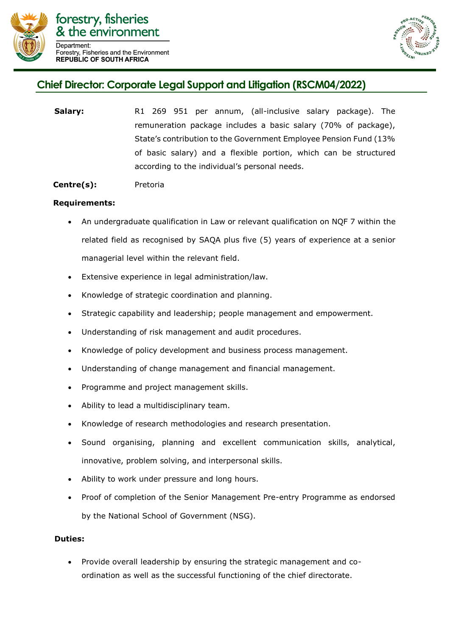



## **Chief Director: Corporate Legal Support and Litigation (RSCM04/2022)**

**Salary:** R1 269 951 per annum, (all-inclusive salary package). The remuneration package includes a basic salary (70% of package), State's contribution to the Government Employee Pension Fund (13% of basic salary) and a flexible portion, which can be structured according to the individual's personal needs.

## **Centre(s):** Pretoria

## **Requirements:**

- An undergraduate qualification in Law or relevant qualification on NQF 7 within the related field as recognised by SAQA plus five (5) years of experience at a senior managerial level within the relevant field.
- Extensive experience in legal administration/law.
- Knowledge of strategic coordination and planning.
- Strategic capability and leadership; people management and empowerment.
- Understanding of risk management and audit procedures.
- Knowledge of policy development and business process management.
- Understanding of change management and financial management.
- Programme and project management skills.
- Ability to lead a multidisciplinary team.
- Knowledge of research methodologies and research presentation.
- Sound organising, planning and excellent communication skills, analytical, innovative, problem solving, and interpersonal skills.
- Ability to work under pressure and long hours.
- Proof of completion of the Senior Management Pre-entry Programme as endorsed by the National School of Government (NSG).

## **Duties:**

 Provide overall leadership by ensuring the strategic management and coordination as well as the successful functioning of the chief directorate.